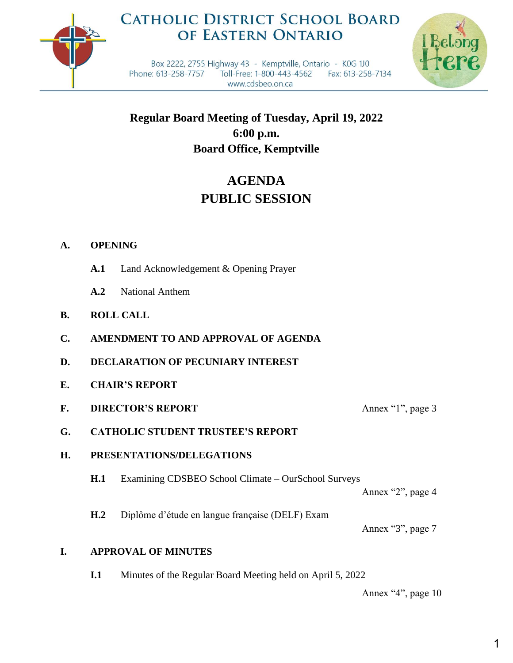

## **CATHOLIC DISTRICT SCHOOL BOARD** OF EASTERN ONTARIO



Box 2222, 2755 Highway 43 - Kemptville, Ontario - K0G 1J0 Phone: 613-258-7757 Toll-Free: 1-800-443-4562 Fax: 613-258-7134 www.cdsbeo.on.ca

**Regular Board Meeting of Tuesday, April 19, 2022 6:00 p.m. Board Office, Kemptville**

# **AGENDA PUBLIC SESSION**

### **A. OPENING**

- **A.1** Land Acknowledgement & Opening Prayer
- **A.2** National Anthem
- **B. ROLL CALL**
- **C. AMENDMENT TO AND APPROVAL OF AGENDA**
- **D. DECLARATION OF PECUNIARY INTEREST**
- **E. CHAIR'S REPORT**
- **F. DIRECTOR'S REPORT** Annex "1", page 3
- **G. CATHOLIC STUDENT TRUSTEE'S REPORT**

#### **H. PRESENTATIONS/DELEGATIONS**

**H.1** Examining CDSBEO School Climate – OurSchool Surveys

Annex "2", page 4

**H.2** Diplôme d'étude en langue française (DELF) Exam

Annex "3", page 7

#### **I. APPROVAL OF MINUTES**

**I.1** Minutes of the Regular Board Meeting held on April 5, 2022

Annex "4", page 10